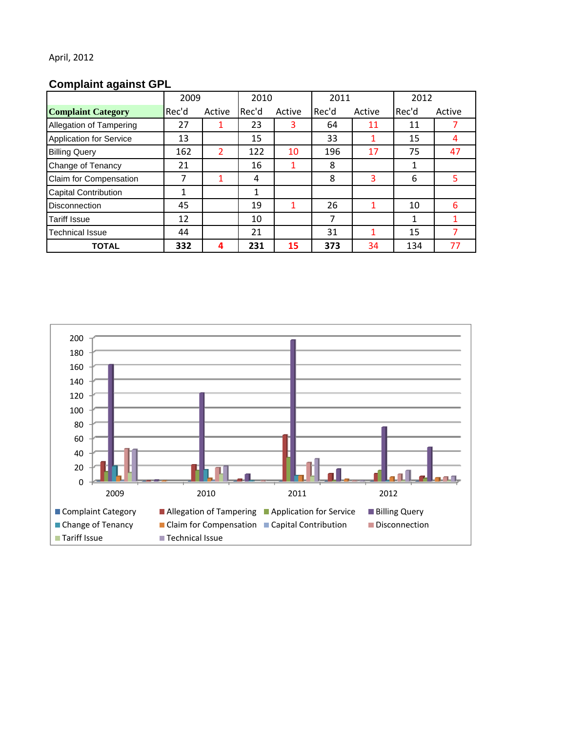# **Complaint against GPL**

|                                | 2009  |        | 2010  |        | 2011  |        | 2012  |        |
|--------------------------------|-------|--------|-------|--------|-------|--------|-------|--------|
| <b>Complaint Category</b>      | Rec'd | Active | Rec'd | Active | Rec'd | Active | Rec'd | Active |
| Allegation of Tampering        | 27    |        | 23    | 3      | 64    | 11     | 11    |        |
| <b>Application for Service</b> | 13    |        | 15    |        | 33    |        | 15    | 4      |
| <b>Billing Query</b>           | 162   | 2      | 122   | 10     | 196   | 17     | 75    | 47     |
| Change of Tenancy              | 21    |        | 16    |        | 8     |        | 1     |        |
| Claim for Compensation         | 7     |        | 4     |        | 8     | 3      | 6     | 5      |
| <b>Capital Contribution</b>    | 1     |        | 1     |        |       |        |       |        |
| <b>Disconnection</b>           | 45    |        | 19    |        | 26    |        | 10    | 6      |
| <b>Tariff Issue</b>            | 12    |        | 10    |        | 7     |        | 1     |        |
| <b>Technical Issue</b>         | 44    |        | 21    |        | 31    |        | 15    |        |
| <b>TOTAL</b>                   | 332   | 4      | 231   | 15     | 373   | 34     | 134   | 77     |

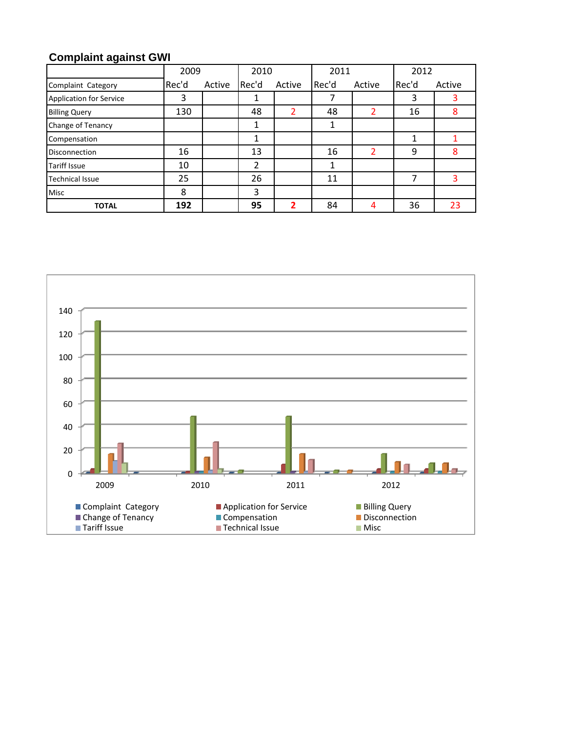# **Complaint against GWI**

|                                | 2009  |        | 2010  |        | 2011  |        | 2012  |        |
|--------------------------------|-------|--------|-------|--------|-------|--------|-------|--------|
| Complaint Category             | Rec'd | Active | Rec'd | Active | Rec'd | Active | Rec'd | Active |
| <b>Application for Service</b> | 3     |        | 1     |        |       |        | 3     |        |
| <b>Billing Query</b>           | 130   |        | 48    |        | 48    |        | 16    | 8      |
| Change of Tenancy              |       |        |       |        |       |        |       |        |
| Compensation                   |       |        | 1     |        |       |        | 1     |        |
| <b>Disconnection</b>           | 16    |        | 13    |        | 16    | 2      | 9     | 8      |
| <b>Tariff Issue</b>            | 10    |        | 2     |        |       |        |       |        |
| <b>Technical Issue</b>         | 25    |        | 26    |        | 11    |        | 7     | ς      |
| <b>Misc</b>                    | 8     |        | 3     |        |       |        |       |        |
| <b>TOTAL</b>                   | 192   |        | 95    |        | 84    | 4      | 36    | 23     |

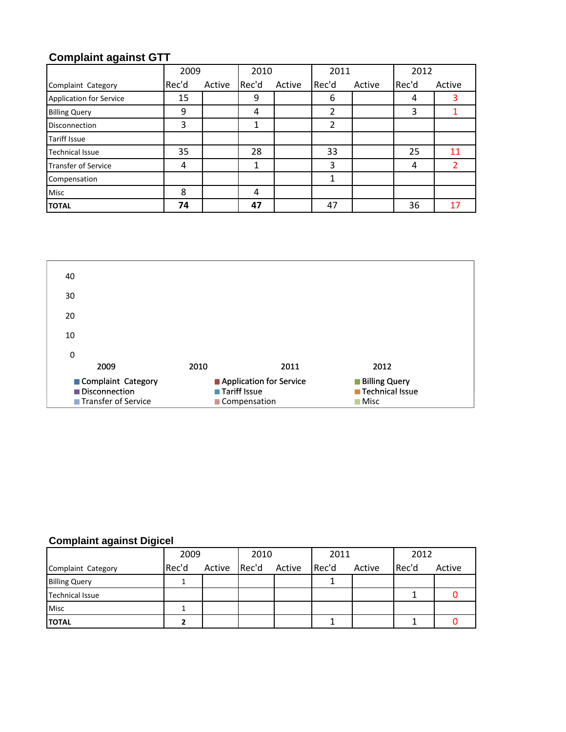## **Complaint against GTT**

|                            | 2009  |        | 2010  |        | 2011  |        | 2012  |        |
|----------------------------|-------|--------|-------|--------|-------|--------|-------|--------|
| Complaint Category         | Rec'd | Active | Rec'd | Active | Rec'd | Active | Rec'd | Active |
| Application for Service    | 15    |        | 9     |        | 6     |        | 4     |        |
| <b>Billing Query</b>       | 9     |        | 4     |        | 2     |        | 3     |        |
| <b>Disconnection</b>       | 3     |        | 1     |        | 2     |        |       |        |
| <b>Tariff Issue</b>        |       |        |       |        |       |        |       |        |
| <b>Technical Issue</b>     | 35    |        | 28    |        | 33    |        | 25    | 11     |
| <b>Transfer of Service</b> | 4     |        | 1     |        | 3     |        | 4     |        |
| Compensation               |       |        |       |        |       |        |       |        |
| <b>Misc</b>                | 8     |        | 4     |        |       |        |       |        |
| <b>TOTAL</b>               | 74    |        | 47    |        | 47    |        | 36    | 17     |



### **Complaint against Digicel**

|                        | 2009  |        | 2010  |        | 2011  |        | 2012  |        |
|------------------------|-------|--------|-------|--------|-------|--------|-------|--------|
| Complaint Category     | Rec'd | Active | Rec'd | Active | Rec'd | Active | Rec'd | Active |
| <b>Billing Query</b>   |       |        |       |        |       |        |       |        |
| <b>Technical Issue</b> |       |        |       |        |       |        |       |        |
| <b>Misc</b>            |       |        |       |        |       |        |       |        |
| <b>TOTAL</b>           |       |        |       |        |       |        |       |        |